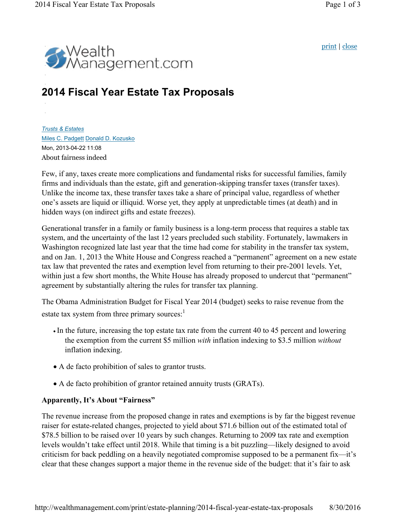print | close



# **2014 Fiscal Year Estate Tax Proposals**

*Trusts & Estates* Miles C. Padgett Donald D. Kozusko Mon, 2013-04-22 11:08 About fairness indeed

Few, if any, taxes create more complications and fundamental risks for successful families, family firms and individuals than the estate, gift and generation-skipping transfer taxes (transfer taxes). Unlike the income tax, these transfer taxes take a share of principal value, regardless of whether one's assets are liquid or illiquid. Worse yet, they apply at unpredictable times (at death) and in hidden ways (on indirect gifts and estate freezes).

Generational transfer in a family or family business is a long-term process that requires a stable tax system, and the uncertainty of the last 12 years precluded such stability. Fortunately, lawmakers in Washington recognized late last year that the time had come for stability in the transfer tax system, and on Jan. 1, 2013 the White House and Congress reached a "permanent" agreement on a new estate tax law that prevented the rates and exemption level from returning to their pre-2001 levels. Yet, within just a few short months, the White House has already proposed to undercut that "permanent" agreement by substantially altering the rules for transfer tax planning.

The Obama Administration Budget for Fiscal Year 2014 (budget) seeks to raise revenue from the estate tax system from three primary sources:<sup>1</sup>

- In the future, increasing the top estate tax rate from the current 40 to 45 percent and lowering the exemption from the current \$5 million *with* inflation indexing to \$3.5 million *without* inflation indexing.
- A de facto prohibition of sales to grantor trusts.
- A de facto prohibition of grantor retained annuity trusts (GRATs).

## **Apparently, It's About "Fairness"**

The revenue increase from the proposed change in rates and exemptions is by far the biggest revenue raiser for estate-related changes, projected to yield about \$71.6 billion out of the estimated total of \$78.5 billion to be raised over 10 years by such changes. Returning to 2009 tax rate and exemption levels wouldn't take effect until 2018. While that timing is a bit puzzling—likely designed to avoid criticism for back peddling on a heavily negotiated compromise supposed to be a permanent fix—it's clear that these changes support a major theme in the revenue side of the budget: that it's fair to ask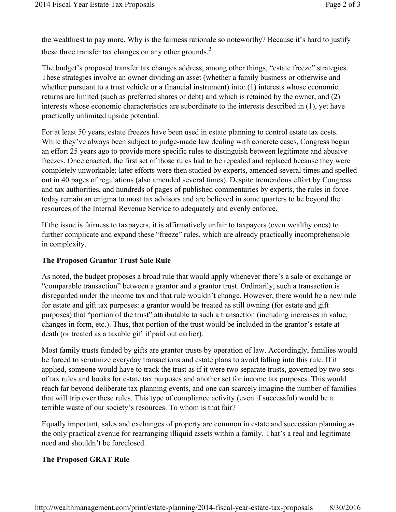the wealthiest to pay more. Why is the fairness rationale so noteworthy? Because it's hard to justify these three transfer tax changes on any other grounds. $<sup>2</sup>$ </sup>

The budget's proposed transfer tax changes address, among other things, "estate freeze" strategies. These strategies involve an owner dividing an asset (whether a family business or otherwise and whether pursuant to a trust vehicle or a financial instrument) into: (1) interests whose economic returns are limited (such as preferred shares or debt) and which is retained by the owner, and (2) interests whose economic characteristics are subordinate to the interests described in (1), yet have practically unlimited upside potential.

For at least 50 years, estate freezes have been used in estate planning to control estate tax costs. While they've always been subject to judge-made law dealing with concrete cases, Congress began an effort 25 years ago to provide more specific rules to distinguish between legitimate and abusive freezes. Once enacted, the first set of those rules had to be repealed and replaced because they were completely unworkable; later efforts were then studied by experts, amended several times and spelled out in 40 pages of regulations (also amended several times). Despite tremendous effort by Congress and tax authorities, and hundreds of pages of published commentaries by experts, the rules in force today remain an enigma to most tax advisors and are believed in some quarters to be beyond the resources of the Internal Revenue Service to adequately and evenly enforce.

If the issue is fairness to taxpayers, it is affirmatively unfair to taxpayers (even wealthy ones) to further complicate and expand these "freeze" rules, which are already practically incomprehensible in complexity.

## **The Proposed Grantor Trust Sale Rule**

As noted, the budget proposes a broad rule that would apply whenever there's a sale or exchange or "comparable transaction" between a grantor and a grantor trust. Ordinarily, such a transaction is disregarded under the income tax and that rule wouldn't change. However, there would be a new rule for estate and gift tax purposes: a grantor would be treated as still owning (for estate and gift purposes) that "portion of the trust" attributable to such a transaction (including increases in value, changes in form, etc.). Thus, that portion of the trust would be included in the grantor's estate at death (or treated as a taxable gift if paid out earlier).

Most family trusts funded by gifts are grantor trusts by operation of law. Accordingly, families would be forced to scrutinize everyday transactions and estate plans to avoid falling into this rule. If it applied, someone would have to track the trust as if it were two separate trusts, governed by two sets of tax rules and books for estate tax purposes and another set for income tax purposes. This would reach far beyond deliberate tax planning events, and one can scarcely imagine the number of families that will trip over these rules. This type of compliance activity (even if successful) would be a terrible waste of our society's resources. To whom is that fair?

Equally important, sales and exchanges of property are common in estate and succession planning as the only practical avenue for rearranging illiquid assets within a family. That's a real and legitimate need and shouldn't be foreclosed.

## **The Proposed GRAT Rule**